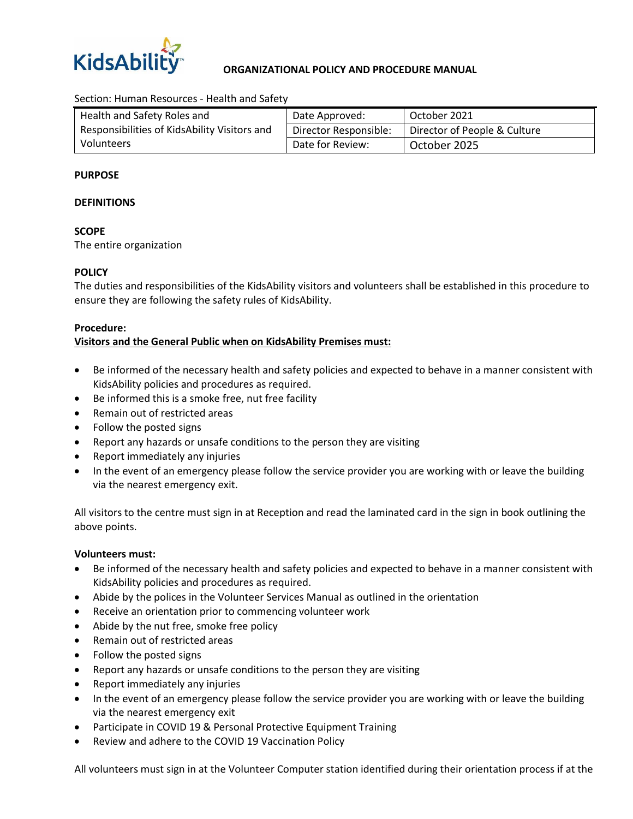

## **ORGANIZATIONAL POLICY AND PROCEDURE MANUAL**

Section: Human Resources - Health and Safety

| Health and Safety Roles and                  | Date Approved:        | October 2021                 |
|----------------------------------------------|-----------------------|------------------------------|
| Responsibilities of KidsAbility Visitors and | Director Responsible: | Director of People & Culture |
| Volunteers                                   | Date for Review:      | October 2025                 |

## **PURPOSE**

#### **DEFINITIONS**

## **SCOPE**

The entire organization

# **POLICY**

The duties and responsibilities of the KidsAbility visitors and volunteers shall be established in this procedure to ensure they are following the safety rules of KidsAbility.

## **Procedure:**

# **Visitors and the General Public when on KidsAbility Premises must:**

- Be informed of the necessary health and safety policies and expected to behave in a manner consistent with KidsAbility policies and procedures as required.
- Be informed this is a smoke free, nut free facility
- Remain out of restricted areas
- Follow the posted signs
- Report any hazards or unsafe conditions to the person they are visiting
- Report immediately any injuries
- In the event of an emergency please follow the service provider you are working with or leave the building via the nearest emergency exit.

All visitors to the centre must sign in at Reception and read the laminated card in the sign in book outlining the above points.

#### **Volunteers must:**

- Be informed of the necessary health and safety policies and expected to behave in a manner consistent with KidsAbility policies and procedures as required.
- Abide by the polices in the Volunteer Services Manual as outlined in the orientation
- Receive an orientation prior to commencing volunteer work
- Abide by the nut free, smoke free policy
- Remain out of restricted areas
- Follow the posted signs
- Report any hazards or unsafe conditions to the person they are visiting
- Report immediately any injuries
- In the event of an emergency please follow the service provider you are working with or leave the building via the nearest emergency exit
- Participate in COVID 19 & Personal Protective Equipment Training
- Review and adhere to the COVID 19 Vaccination Policy

All volunteers must sign in at the Volunteer Computer station identified during their orientation process if at the